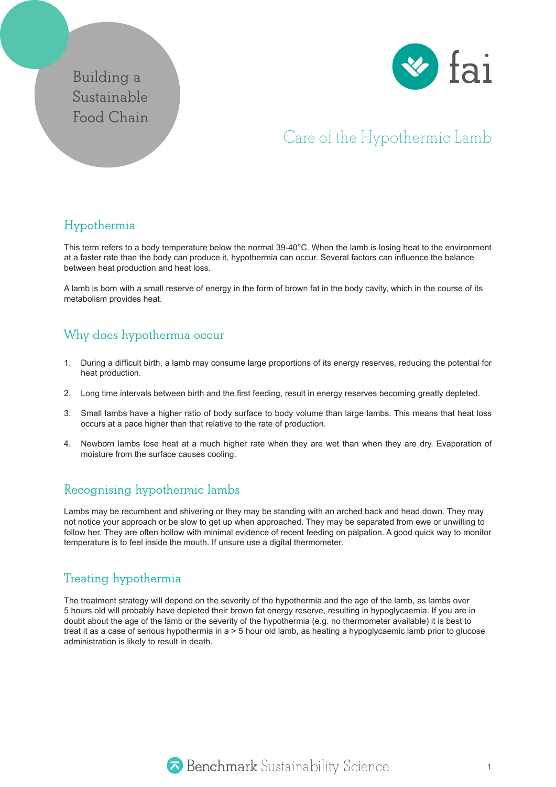## **Building a Sustainable Food Chain**



# Care of the Hypothermic Lamb

### **Hypothermia**

This term refers to a body temperature below the normal 39-40°C. When the lamb is losing heat to the environment at a faster rate than the body can produce it, hypothermia can occur. Several factors can influence the balance between heat production and heat loss.

A lamb is born with a small reserve of energy in the form of brown fat in the body cavity, which in the course of its metabolism provides heat.

#### **Why does hypothermia occur**

- 1. During a difficult birth, a lamb may consume large proportions of its energy reserves, reducing the potential for heat production.
- 2. Long time intervals between birth and the first feeding, result in energy reserves becoming greatly depleted.
- 3. Small lambs have a higher ratio of body surface to body volume than large lambs. This means that heat loss occurs at a pace higher than that relative to the rate of production.
- 4. Newborn lambs lose heat at a much higher rate when they are wet than when they are dry. Evaporation of moisture from the surface causes cooling.

#### **Recognising hypothermic lambs**

Lambs may be recumbent and shivering or they may be standing with an arched back and head down. They may not notice your approach or be slow to get up when approached. They may be separated from ewe or unwilling to follow her. They are often hollow with minimal evidence of recent feeding on palpation. A good quick way to monitor temperature is to feel inside the mouth. If unsure use a digital thermometer.

#### **Treating hypothermia**

The treatment strategy will depend on the severity of the hypothermia and the age of the lamb, as lambs over 5 hours old will probably have depleted their brown fat energy reserve, resulting in hypoglycaemia. If you are in doubt about the age of the lamb or the severity of the hypothermia (e.g. no thermometer available) it is best to treat it as a case of serious hypothermia in a > 5 hour old lamb, as heating a hypoglycaemic lamb prior to glucose administration is likely to result in death.